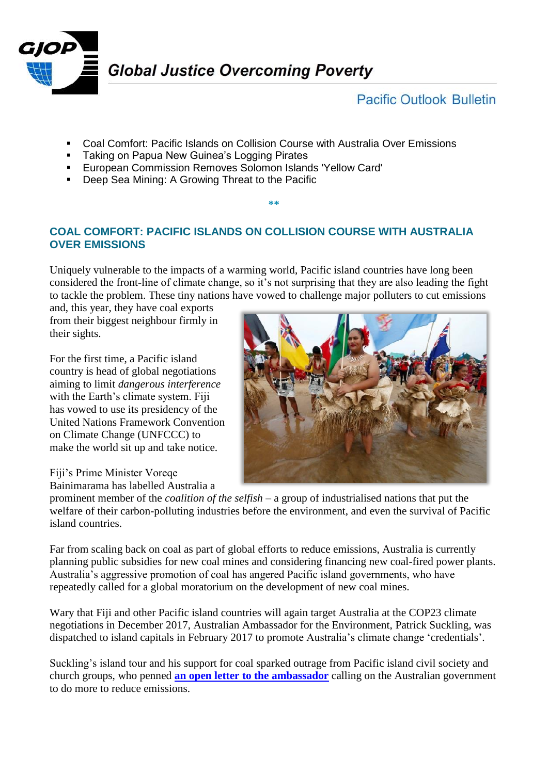

**Pacific Outlook Bulletin** 

- Coal Comfort: Pacific Islands on Collision Course with Australia Over Emissions
- **Taking on Papua New Guinea's Logging Pirates**
- European Commission Removes Solomon Islands 'Yellow Card'
- **Deep Sea Mining: A Growing Threat to the Pacific**

## **COAL COMFORT: PACIFIC ISLANDS ON COLLISION COURSE WITH AUSTRALIA OVER EMISSIONS**

**\*\***

Uniquely vulnerable to the impacts of a warming world, Pacific island countries have long been considered the front-line of climate change, so it's not surprising that they are also leading the fight to tackle the problem. These tiny nations have vowed to challenge major polluters to cut emissions

and, this year, they have coal exports from their biggest neighbour firmly in their sights.

For the first time, a Pacific island country is head of global negotiations aiming to limit *dangerous interference* with the Earth's climate system. Fiji has vowed to use its presidency of the United Nations Framework Convention on Climate Change (UNFCCC) to make the world sit up and take notice.

Fiji's Prime Minister Voreqe Bainimarama has labelled Australia a



prominent member of the *coalition of the selfish* – a group of industrialised nations that put the welfare of their carbon-polluting industries before the environment, and even the survival of Pacific island countries.

Far from scaling back on coal as part of global efforts to reduce emissions, Australia is currently planning public subsidies for new coal mines and considering financing new coal-fired power plants. Australia's aggressive promotion of coal has angered Pacific island governments, who have repeatedly called for a global moratorium on the development of new coal mines.

Wary that Fiji and other Pacific island countries will again target Australia at the COP23 climate negotiations in December 2017, Australian Ambassador for the Environment, Patrick Suckling, was dispatched to island capitals in February 2017 to promote Australia's climate change 'credentials'.

Suckling's island tour and his support for coal sparked outrage from Pacific island civil society and church groups, who penned **[an open letter to the ambassador](http://www.huffingtonpost.com/entry/an-open-letter-from-the-pacific-islands-climate-action_us_5897a1dfe4b061551b3e0049)** calling on the Australian government to do more to reduce emissions.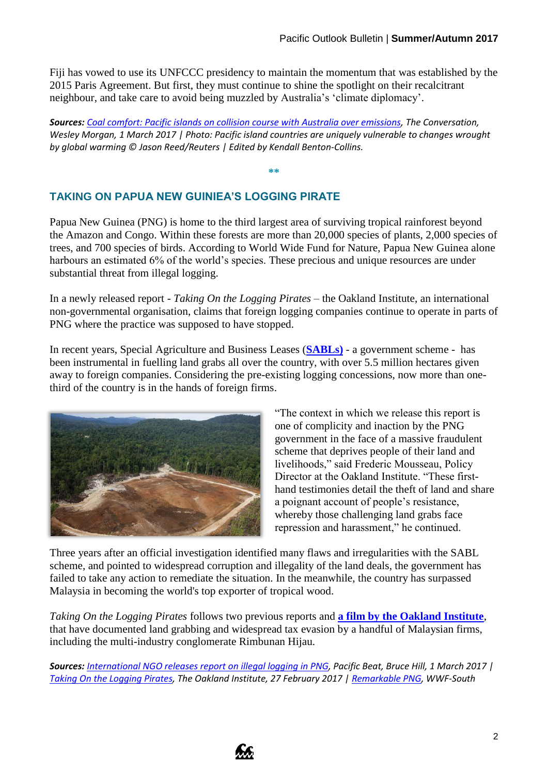Fiji has vowed to use its UNFCCC presidency to maintain the momentum that was established by the 2015 Paris Agreement. But first, they must continue to shine the spotlight on their recalcitrant neighbour, and take care to avoid being muzzled by Australia's 'climate diplomacy'.

*Sources: [Coal comfort: Pacific islands on collision course with Australia over emissions,](https://theconversation.com/coal-comfort-pacific-islands-on-collision-course-with-australia-over-emissions-73662) The Conversation, Wesley Morgan, 1 March 2017 | Photo: Pacific island countries are uniquely vulnerable to changes wrought by global warming © Jason Reed/Reuters | Edited by Kendall Benton-Collins.*

**\*\***

## **TAKING ON PAPUA NEW GUINIEA'S LOGGING PIRATE**

Papua New Guinea (PNG) is home to the third largest area of surviving tropical rainforest beyond the Amazon and Congo. Within these forests are more than 20,000 species of plants, 2,000 species of trees, and 700 species of birds. According to World Wide Fund for Nature, Papua New Guinea alone harbours an estimated 6% of the world's species. These precious and unique resources are under substantial threat from illegal logging.

In a newly released report - *Taking On the Logging Pirates* – the Oakland Institute, an international non-governmental organisation, claims that foreign logging companies continue to operate in parts of PNG where the practice was supposed to have stopped.

In recent years, Special Agriculture and Business Leases (**[SABLs\)](http://www.greenpeace.org/australia/Global/australia/11-076%20PNG%20Press%20Briefing_smaller_F-1.pdf)** - a government scheme - has been instrumental in fuelling land grabs all over the country, with over 5.5 million hectares given away to foreign companies. Considering the pre-existing logging concessions, now more than onethird of the country is in the hands of foreign firms.



"The context in which we release this report is one of complicity and inaction by the PNG government in the face of a massive fraudulent scheme that deprives people of their land and livelihoods," said Frederic Mousseau, Policy Director at the Oakland Institute. "These firsthand testimonies detail the theft of land and share a poignant account of people's resistance, whereby those challenging land grabs face repression and harassment," he continued.

Three years after an official investigation identified many flaws and irregularities with the SABL scheme, and pointed to widespread corruption and illegality of the land deals, the government has failed to take any action to remediate the situation. In the meanwhile, the country has surpassed Malaysia in becoming the world's top exporter of tropical wood.

*Taking On the Logging Pirates* follows two previous reports and **[a film by the Oakland Institute](https://www.oaklandinstitute.org/country/papua-new-guinea)**, that have documented land grabbing and widespread tax evasion by a handful of Malaysian firms, including the multi-industry conglomerate Rimbunan Hijau.

*Sources: [International NGO releases report on illegal logging in PNG,](http://www.abc.net.au/news/2017-02-27/international-ngo-releases-report-on-illegal/8308102) Pacific Beat, Bruce Hill, 1 March 2017 | [Taking On the Logging Pirates,](https://www.oaklandinstitute.org/sites/oaklandinstitute.org/files/taking-on-logging-pirates-hi.pdf) The Oakland Institute, 27 February 2017 | [Remarkable PNG,](http://www.wwfpacific.org/about/papua_new_guinea/) WWF-South* 

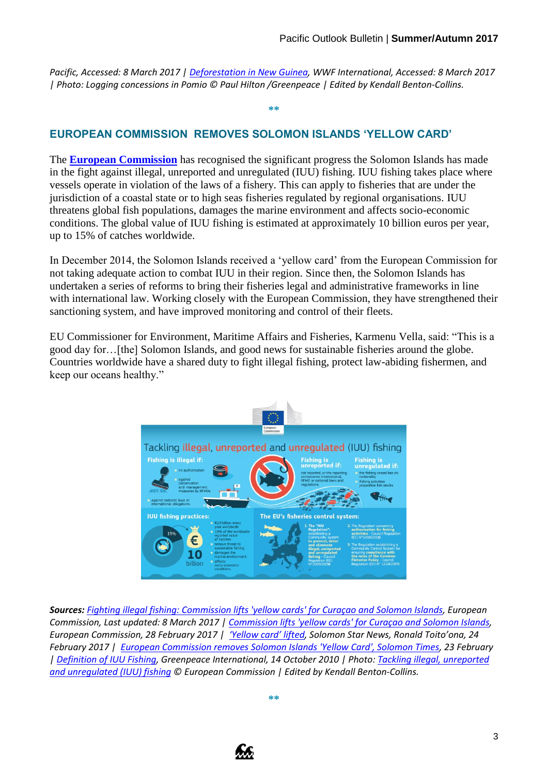*Pacific, Accessed: 8 March 2017 | [Deforestation in New Guinea,](http://wwf.panda.org/about_our_earth/deforestation/deforestation_fronts/deforestation_in_new_guinea/index.cfm) WWF International, Accessed: 8 March 2017 | Photo: Logging concessions in Pomio © Paul Hilton /Greenpeace | Edited by Kendall Benton-Collins.*

**\*\***

## **EUROPEAN COMMISSION REMOVES SOLOMON ISLANDS 'YELLOW CARD'**

The **[European Commission](https://ec.europa.eu/commission/index_en)** has recognised the significant progress the Solomon Islands has made in the fight against illegal, unreported and unregulated (IUU) fishing. IUU fishing takes place where vessels operate in violation of the laws of a fishery. This can apply to fisheries that are under the jurisdiction of a coastal state or to high seas fisheries regulated by regional organisations. IUU threatens global fish populations, damages the marine environment and affects socio-economic conditions. The global value of IUU fishing is estimated at approximately 10 billion euros per year, up to 15% of catches worldwide.

In December 2014, the Solomon Islands received a 'yellow card' from the European Commission for not taking adequate action to combat IUU in their region. Since then, the Solomon Islands has undertaken a series of reforms to bring their fisheries legal and administrative frameworks in line with international law. Working closely with the European Commission, they have strengthened their sanctioning system, and have improved monitoring and control of their fleets.

EU Commissioner for Environment, Maritime Affairs and Fisheries, Karmenu Vella, said: "This is a good day for…[the] Solomon Islands, and good news for sustainable fisheries around the globe. Countries worldwide have a shared duty to fight illegal fishing, protect law-abiding fishermen, and keep our oceans healthy."



*Sources: [Fighting illegal fishing: Commission lifts 'yellow cards' for Curaçao and Solomon Islands,](https://ec.europa.eu/fisheries/fighting-illegal-fishing-commission-lifts-yellow-cards-cura%C3%A7ao-and-solomon-islands_en) European Commission, Last updated: 8 March 2017 | [Commission lifts 'yellow cards' for Curaçao and Solomon Islands,](http://brussels.cta.int/index.php?option=com_k2&id=14760:commission-lifts-yellow-cards-for-curacao-and-solomon-islands&view=item&Itemid=54) European Commission, 28 February 2017 | ['Yellow card' lifted,](http://www.solomonstarnews.com/news/business/12364-yellow-card-lifted) Solomon Star News, Ronald Toito'ona, 24 February 2017 | [European Commission removes Solomon Islands 'Yellow Card', Solomon Times,](http://pina.com.fj/?p=pacnews&m=read&o=53963218858afa55e8faf12a104c2b) 23 February [| Definition of IUU Fishing,](http://www.greenpeace.org/international/en/campaigns/oceans/pirate-fishing/Blacklist1/About-the-blacklists/Definition-of-IUU-fishing/) Greenpeace International, 14 October 2010 | Photo: [Tackling illegal, unreported](https://ec.europa.eu/fisheries/sites/fisheries/files/docs/publications/2015-04-tackling-iuu-fishing_en.pdf)  [and unregulated \(IUU\) fishing](https://ec.europa.eu/fisheries/sites/fisheries/files/docs/publications/2015-04-tackling-iuu-fishing_en.pdf) © European Commission | Edited by Kendall Benton-Collins.*